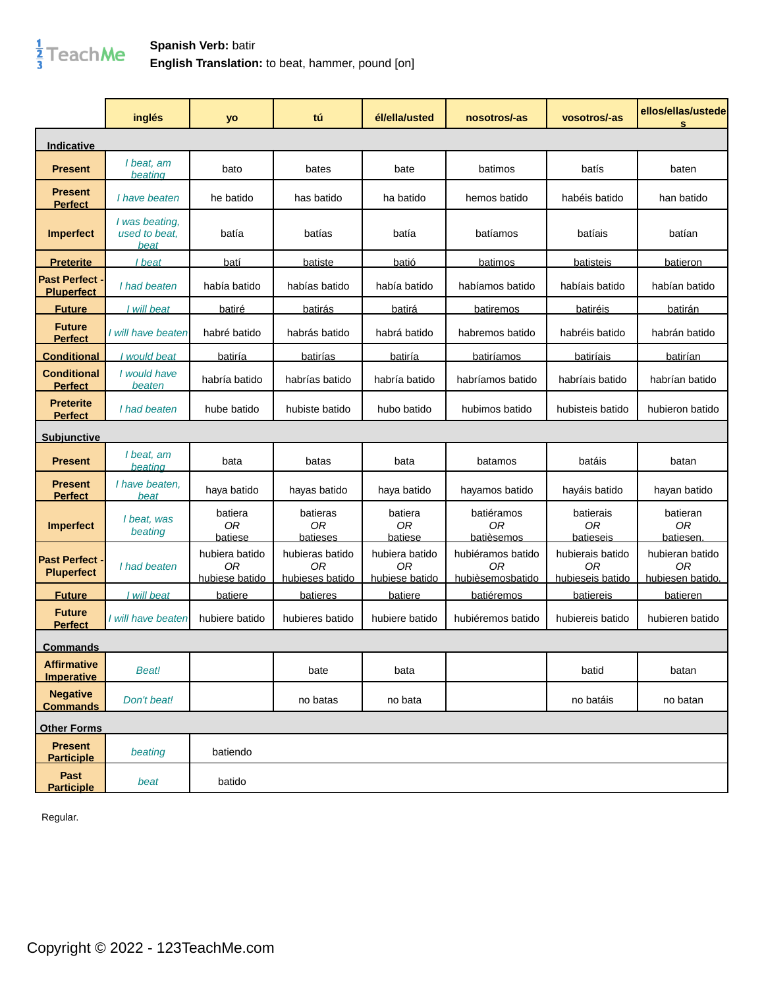

## **Spanish Verb:** batir **English Translation:** to beat, hammer, pound [on]

|                                          | inglés                                  | yo                                     | tú                                       | él/ella/usted                          | nosotros/-as                                | vosotros/-as                               | ellos/ellas/ustede<br>s                   |
|------------------------------------------|-----------------------------------------|----------------------------------------|------------------------------------------|----------------------------------------|---------------------------------------------|--------------------------------------------|-------------------------------------------|
| <u>Indicative</u>                        |                                         |                                        |                                          |                                        |                                             |                                            |                                           |
| <b>Present</b>                           | I beat, am<br>beating                   | bato                                   | bates                                    | bate                                   | batimos                                     | batís                                      | baten                                     |
| <b>Present</b><br><b>Perfect</b>         | I have beaten                           | he batido                              | has batido                               | ha batido                              | hemos batido                                | habéis batido                              | han batido                                |
| <b>Imperfect</b>                         | I was beating,<br>used to beat.<br>beat | batía                                  | batías                                   | batía                                  | batíamos                                    | batíais                                    | batían                                    |
| <u>Preterite</u>                         | I beat                                  | batí                                   | batiste                                  | batió                                  | batimos                                     | batisteis                                  | batieron                                  |
| <b>Past Perfect</b><br><b>Pluperfect</b> | I had beaten                            | había batido                           | habías batido                            | había batido                           | habíamos batido                             | habíais batido                             | habían batido                             |
| <b>Future</b>                            | I will beat                             | batiré                                 | batirás                                  | batirá                                 | batiremos                                   | batiréis                                   | batirán                                   |
| <b>Future</b><br><b>Perfect</b>          | I will have beaten                      | habré batido                           | habrás batido                            | habrá batido                           | habremos batido                             | habréis batido                             | habrán batido                             |
| Conditional                              | I would beat                            | batiría                                | batirías                                 | batiría                                | batiríamos                                  | batiríais                                  | batirían                                  |
| <b>Conditional</b><br><b>Perfect</b>     | I would have<br>beaten                  | habría batido                          | habrías batido                           | habría batido                          | habríamos batido                            | habríais batido                            | habrían batido                            |
| <b>Preterite</b><br><b>Perfect</b>       | I had beaten                            | hube batido                            | hubiste batido                           | hubo batido                            | hubimos batido                              | hubisteis batido                           | hubieron batido                           |
| <u>Subiunctive</u>                       |                                         |                                        |                                          |                                        |                                             |                                            |                                           |
| <b>Present</b>                           | I beat, am<br>beating                   | bata                                   | batas                                    | bata                                   | batamos                                     | batáis                                     | batan                                     |
| <b>Present</b><br><b>Perfect</b>         | I have beaten,<br>beat                  | haya batido                            | hayas batido                             | haya batido                            | hayamos batido                              | hayáis batido                              | hayan batido                              |
| <b>Imperfect</b>                         | I beat, was<br>beating                  | batiera<br>0 <sub>R</sub><br>batiese   | batieras<br>0 <sub>R</sub><br>batieses   | batiera<br>0 <sub>R</sub><br>batiese   | batiéramos<br>0 <sub>R</sub><br>batièsemos  | batierais<br>0 <sub>R</sub><br>batieseis   | batieran<br>0 <sub>R</sub><br>batiesen.   |
| <b>Past Perfect</b><br><b>Pluperfect</b> | I had beaten                            | hubiera batido<br>0R<br>hubiese batido | hubieras batido<br>0R<br>hubieses batido | hubiera batido<br>0R<br>hubiese batido | hubiéramos batido<br>ΟR<br>hubièsemosbatido | hubierais batido<br>0R<br>hubieseis batido | hubieran batido<br>0R<br>hubiesen batido. |
| <b>Future</b>                            | I will beat                             | <b>batiere</b>                         | <b>batieres</b>                          | batiere                                | batiéremos                                  | <b>batiereis</b>                           | batieren                                  |
| <b>Future</b><br><b>Perfect</b>          | I will have beaten                      | hubiere batido                         | hubieres batido                          | hubiere batido                         | hubiéremos batido                           | hubiereis batido                           | hubieren batido                           |
| <b>Commands</b>                          |                                         |                                        |                                          |                                        |                                             |                                            |                                           |
| <b>Affirmative</b><br><b>Imperative</b>  | <b>Beat!</b>                            |                                        | bate                                     | bata                                   |                                             | batid                                      | batan                                     |
| <b>Negative</b><br><b>Commands</b>       | Don't beat!                             |                                        | no batas                                 | no bata                                |                                             | no batáis                                  | no batan                                  |
| <b>Other Forms</b>                       |                                         |                                        |                                          |                                        |                                             |                                            |                                           |
| <b>Present</b><br><b>Participle</b>      | beating                                 | batiendo                               |                                          |                                        |                                             |                                            |                                           |
| Past<br><b>Participle</b>                | beat                                    | batido                                 |                                          |                                        |                                             |                                            |                                           |

Regular.